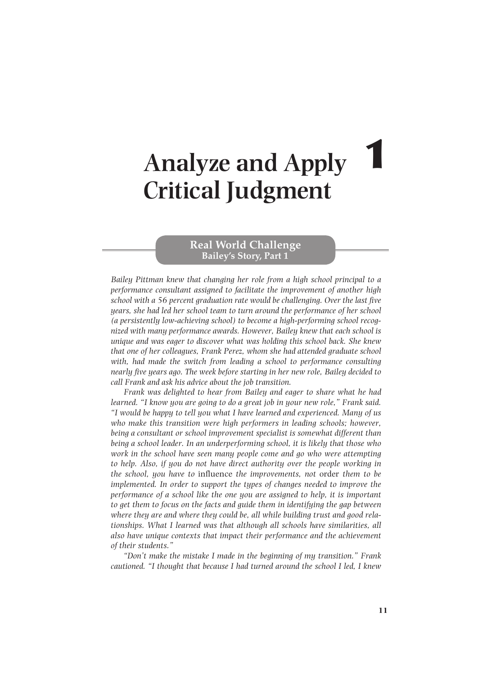# **Real World Challenge Bailey's Story, Part 1**

 *Bailey Pittman knew that changing her role from a high school principal to a performance consultant assigned to facilitate the improvement of another high school with a 56 percent graduation rate would be challenging. Over the last five years, she had led her school team to turn around the performance of her school (a persistently low-achieving school) to become a high-performing school recognized with many performance awards. However, Bailey knew that each school is unique and was eager to discover what was holding this school back. She knew that one of her colleagues, Frank Perez, whom she had attended graduate school*  with, had made the switch from leading a school to performance consulting *nearly five years ago. The week before starting in her new role, Bailey decided to call Frank and ask his advice about the job transition.* 

 *Frank was delighted to hear from Bailey and eager to share what he had learned. "I know you are going to do a great job in your new role," Frank said. "I would be happy to tell you what I have learned and experienced. Many of us who make this transition were high performers in leading schools; however, being a consultant or school improvement specialist is somewhat different than being a school leader. In an underperforming school, it is likely that those who work in the school have seen many people come and go who were attempting*  to help. Also, if you do not have direct authority over the people working in *the school, you have to* influence *the improvements, not* order *them to be implemented. In order to support the types of changes needed to improve the performance of a school like the one you are assigned to help, it is important*  to get them to focus on the facts and guide them in identifying the gap between *where they are and where they could be, all while building trust and good relationships. What I learned was that although all schools have similarities, all also have unique contexts that impact their performance and the achievement of their students."* 

 *"Don't make the mistake I made in the beginning of my transition." Frank cautioned. "I thought that because I had turned around the school I led, I knew*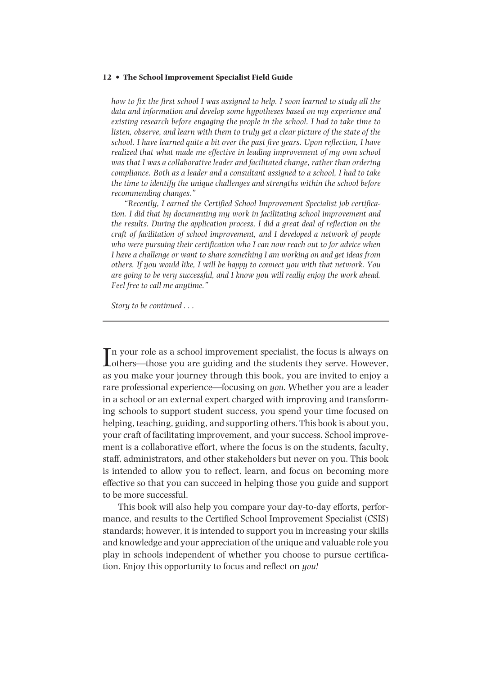*how to fix the first school I was assigned to help. I soon learned to study all the data and information and develop some hypotheses based on my experience and existing research before engaging the people in the school. I had to take time to listen, observe, and learn with them to truly get a clear picture of the state of the school. I have learned quite a bit over the past five years. Upon reflection, I have realized that what made me effective in leading improvement of my own school was that I was a collaborative leader and facilitated change, rather than ordering compliance. Both as a leader and a consultant assigned to a school, I had to take the time to identify the unique challenges and strengths within the school before recommending changes."* 

 *"Recently, I earned the Certified School Improvement Specialist job certification. I did that by documenting my work in facilitating school improvement and the results. During the application process, I did a great deal of reflection on the craft of facilitation of school improvement, and I developed a network of people who were pursuing their certification who I can now reach out to for advice when I have a challenge or want to share something I am working on and get ideas from others. If you would like, I will be happy to connect you with that network. You are going to be very successful, and I know you will really enjoy the work ahead. Feel free to call me anytime."* 

 *Story to be continued . . .* 

 $\prod$ n your role as a school improvement specialist, the focus is always on others—those you are guiding and the students they serve. However, n your role as a school improvement specialist, the focus is always on as you make your journey through this book, you are invited to enjoy a rare professional experience—focusing on *you.* Whether you are a leader in a school or an external expert charged with improving and transforming schools to support student success, you spend your time focused on helping, teaching, guiding, and supporting others. This book is about you, your craft of facilitating improvement, and your success. School improvement is a collaborative effort, where the focus is on the students, faculty, staff, administrators, and other stakeholders but never on you. This book is intended to allow you to reflect, learn, and focus on becoming more effective so that you can succeed in helping those you guide and support to be more successful.

 This book will also help you compare your day-to-day efforts, performance, and results to the Certified School Improvement Specialist (CSIS) standards; however, it is intended to support you in increasing your skills and knowledge and your appreciation of the unique and valuable role you play in schools independent of whether you choose to pursue certification. Enjoy this opportunity to focus and reflect on *you!*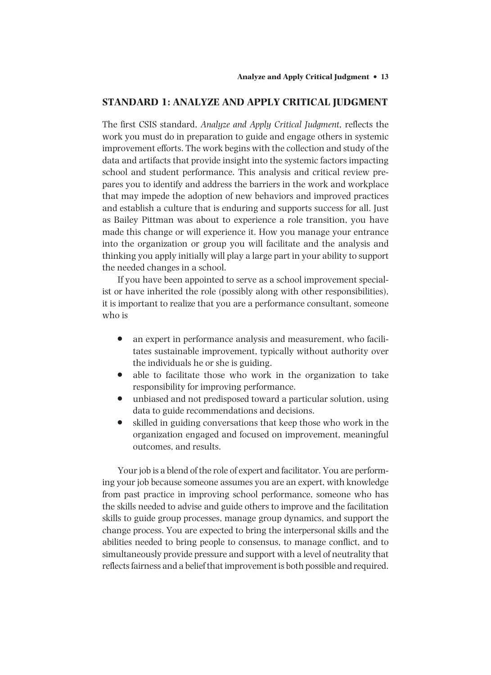## **STANDARD 1: ANALYZE AND APPLY CRITICAL JUDGMENT**

 The first CSIS standard, *Analyze and Apply Critical Judgment,* reflects the work you must do in preparation to guide and engage others in systemic improvement efforts. The work begins with the collection and study of the data and artifacts that provide insight into the systemic factors impacting school and student performance. This analysis and critical review prepares you to identify and address the barriers in the work and workplace that may impede the adoption of new behaviors and improved practices and establish a culture that is enduring and supports success for all. Just as Bailey Pittman was about to experience a role transition, you have made this change or will experience it. How you manage your entrance into the organization or group you will facilitate and the analysis and thinking you apply initially will play a large part in your ability to support the needed changes in a school.

 If you have been appointed to serve as a school improvement specialist or have inherited the role (possibly along with other responsibilities), it is important to realize that you are a performance consultant, someone who is

- an expert in performance analysis and measurement, who facilitates sustainable improvement, typically without authority over the individuals he or she is guiding.
- able to facilitate those who work in the organization to take responsibility for improving performance.
- unbiased and not predisposed toward a particular solution, using data to guide recommendations and decisions.
- skilled in guiding conversations that keep those who work in the organization engaged and focused on improvement, meaningful outcomes, and results.

 Your job is a blend of the role of expert and facilitator. You are performing your job because someone assumes you are an expert, with knowledge from past practice in improving school performance, someone who has the skills needed to advise and guide others to improve and the facilitation skills to guide group processes, manage group dynamics, and support the change process. You are expected to bring the interpersonal skills and the abilities needed to bring people to consensus, to manage conflict, and to simultaneously provide pressure and support with a level of neutrality that reflects fairness and a belief that improvement is both possible and required.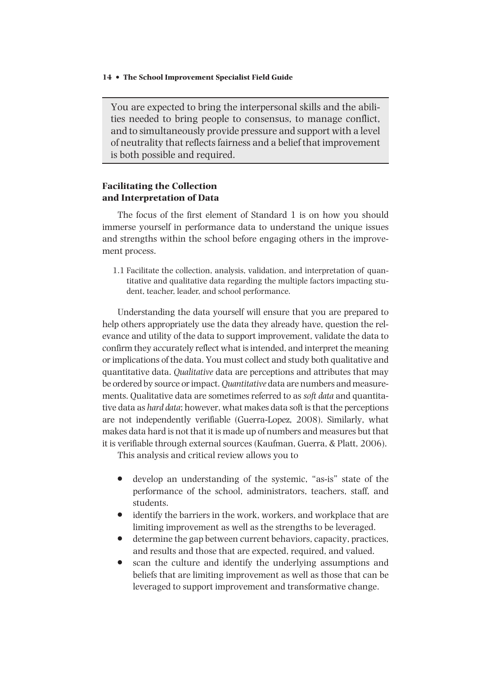You are expected to bring the interpersonal skills and the abilities needed to bring people to consensus, to manage conflict, and to simultaneously provide pressure and support with a level of neutrality that reflects fairness and a belief that improvement is both possible and required.

## **Facilitating the Collection and Interpretation of Data**

 The focus of the first element of Standard 1 is on how you should immerse yourself in performance data to understand the unique issues and strengths within the school before engaging others in the improvement process.

 1.1 Facilitate the collection, analysis, validation, and interpretation of quantitative and qualitative data regarding the multiple factors impacting student, teacher, leader, and school performance.

 Understanding the data yourself will ensure that you are prepared to help others appropriately use the data they already have, question the relevance and utility of the data to support improvement, validate the data to confirm they accurately reflect what is intended, and interpret the meaning or implications of the data. You must collect and study both qualitative and quantitative data. *Qualitative* data are perceptions and attributes that may be ordered by source or impact. *Quantitative* data are numbers and measurements. Qualitative data are sometimes referred to as *soft data* and quantitative data as *hard data* ; however, what makes data soft is that the perceptions are not independently verifiable (Guerra-Lopez, 2008). Similarly, what makes data hard is not that it is made up of numbers and measures but that it is verifiable through external sources (Kaufman, Guerra, & Platt, 2006).

This analysis and critical review allows you to

- develop an understanding of the systemic, "as-is" state of the performance of the school, administrators, teachers, staff, and students.
- identify the barriers in the work, workers, and workplace that are limiting improvement as well as the strengths to be leveraged.
- determine the gap between current behaviors, capacity, practices, and results and those that are expected, required, and valued.
- scan the culture and identify the underlying assumptions and beliefs that are limiting improvement as well as those that can be leveraged to support improvement and transformative change.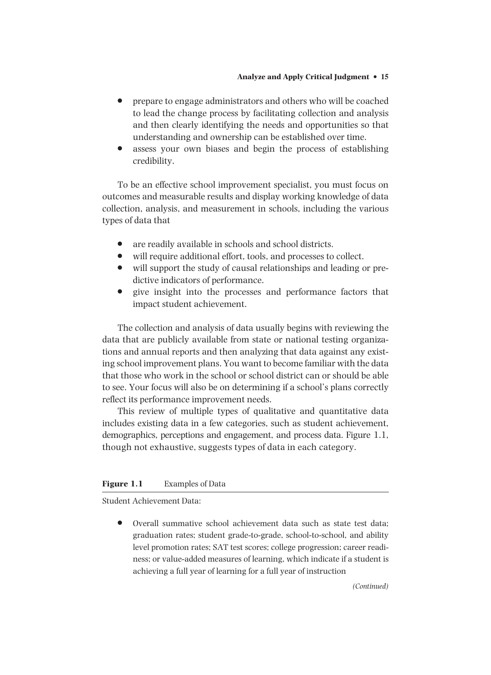- prepare to engage administrators and others who will be coached to lead the change process by facilitating collection and analysis and then clearly identifying the needs and opportunities so that understanding and ownership can be established over time.
- assess your own biases and begin the process of establishing credibility.

 To be an effective school improvement specialist, you must focus on outcomes and measurable results and display working knowledge of data collection, analysis, and measurement in schools, including the various types of data that

- are readily available in schools and school districts.
- will require additional effort, tools, and processes to collect.
- will support the study of causal relationships and leading or predictive indicators of performance.
- give insight into the processes and performance factors that impact student achievement.

 The collection and analysis of data usually begins with reviewing the data that are publicly available from state or national testing organizations and annual reports and then analyzing that data against any existing school improvement plans. You want to become familiar with the data that those who work in the school or school district can or should be able to see. Your focus will also be on determining if a school's plans correctly reflect its performance improvement needs.

 This review of multiple types of qualitative and quantitative data includes existing data in a few categories, such as student achievement, demographics, perceptions and engagement, and process data. Figure 1.1, though not exhaustive, suggests types of data in each category.

#### **Figure 1.1** Examples of Data

Student Achievement Data:

• Overall summative school achievement data such as state test data; graduation rates; student grade-to-grade, school-to-school, and ability level promotion rates; SAT test scores; college progression; career readiness; or value-added measures of learning, which indicate if a student is achieving a full year of learning for a full year of instruction

*(Continued)*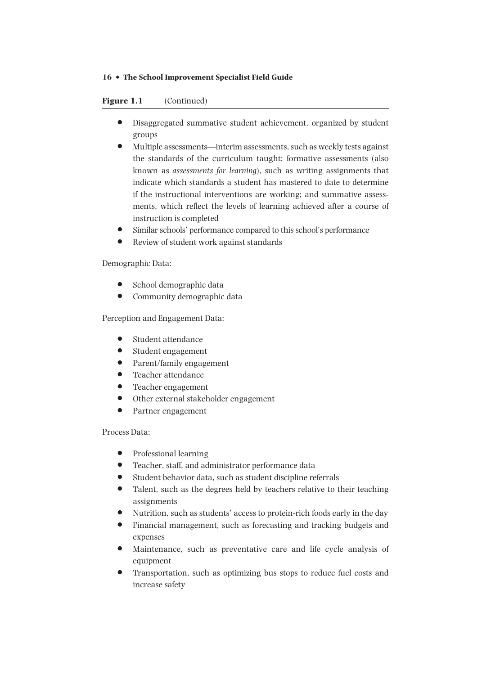## **Figure 1.1** (Continued)

- Disaggregated summative student achievement, organized by student groups
- Multiple assessments—interim assessments, such as weekly tests against the standards of the curriculum taught; formative assessments (also known as *assessments for learning* ), such as writing assignments that indicate which standards a student has mastered to date to determine if the instructional interventions are working; and summative assessments, which reflect the levels of learning achieved after a course of instruction is completed
- Similar schools' performance compared to this school's performance
- Review of student work against standards

Demographic Data:

- School demographic data
- Community demographic data

Perception and Engagement Data:

- Student attendance
- Student engagement
- Parent/family engagement
- Teacher attendance
- Teacher engagement
- Other external stakeholder engagement
- Partner engagement

## Process Data:

- Professional learning
- Teacher, staff, and administrator performance data
- Student behavior data, such as student discipline referrals
- Talent, such as the degrees held by teachers relative to their teaching assignments
- Nutrition, such as students' access to protein-rich foods early in the day
- Financial management, such as forecasting and tracking budgets and expenses
- Maintenance, such as preventative care and life cycle analysis of equipment
- Transportation, such as optimizing bus stops to reduce fuel costs and increase safety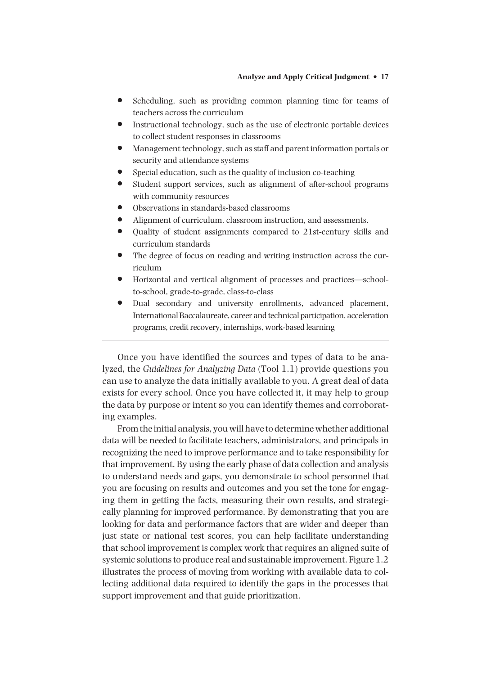- Scheduling, such as providing common planning time for teams of teachers across the curriculum
- Instructional technology, such as the use of electronic portable devices to collect student responses in classrooms
- Management technology, such as staff and parent information portals or security and attendance systems
- Special education, such as the quality of inclusion co-teaching
- Student support services, such as alignment of after-school programs with community resources
- Observations in standards-based classrooms
- Alignment of curriculum, classroom instruction, and assessments.
- Quality of student assignments compared to 21st-century skills and curriculum standards
- The degree of focus on reading and writing instruction across the curriculum
- Horizontal and vertical alignment of processes and practices—schoolto-school, grade-to-grade, class-to-class
- Dual secondary and university enrollments, advanced placement, International Baccalaureate, career and technical participation, acceleration programs, credit recovery, internships, work-based learning

 Once you have identified the sources and types of data to be analyzed, the *Guidelines for Analyzing Data* (Tool 1.1) provide questions you can use to analyze the data initially available to you. A great deal of data exists for every school. Once you have collected it, it may help to group the data by purpose or intent so you can identify themes and corroborating examples.

 From the initial analysis, you will have to determine whether additional data will be needed to facilitate teachers, administrators, and principals in recognizing the need to improve performance and to take responsibility for that improvement. By using the early phase of data collection and analysis to understand needs and gaps, you demonstrate to school personnel that you are focusing on results and outcomes and you set the tone for engaging them in getting the facts, measuring their own results, and strategically planning for improved performance. By demonstrating that you are looking for data and performance factors that are wider and deeper than just state or national test scores, you can help facilitate understanding that school improvement is complex work that requires an aligned suite of systemic solutions to produce real and sustainable improvement. Figure 1.2 illustrates the process of moving from working with available data to collecting additional data required to identify the gaps in the processes that support improvement and that guide prioritization.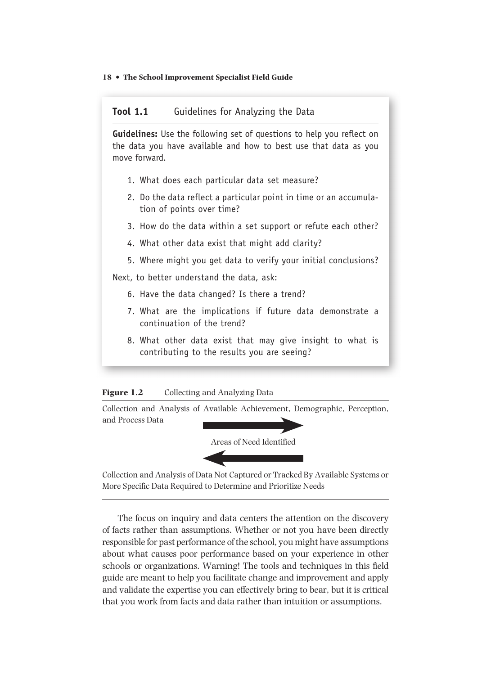## **Tool 1.1** Guidelines for Analyzing the Data

**Guidelines:** Use the following set of questions to help you reflect on the data you have available and how to best use that data as you move forward.

- 1. What does each particular data set measure?
- 2. Do the data reflect a particular point in time or an accumulation of points over time?
- 3. How do the data within a set support or refute each other?
- 4. What other data exist that might add clarity?
- 5. Where might you get data to verify your initial conclusions?

Next, to better understand the data, ask:

- 6. Have the data changed? Is there a trend?
- 7. What are the implications if future data demonstrate a continuation of the trend?
- 8. What other data exist that may give insight to what is contributing to the results you are seeing?

## Figure 1.2 Collecting and Analyzing Data

 Collection and Analysis of Available Achievement, Demographic, Perception, and Process Data



 Collection and Analysis of Data Not Captured or Tracked By Available Systems or More Specific Data Required to Determine and Prioritize Needs

 The focus on inquiry and data centers the attention on the discovery of facts rather than assumptions. Whether or not you have been directly responsible for past performance of the school, you might have assumptions about what causes poor performance based on your experience in other schools or organizations. Warning! The tools and techniques in this field guide are meant to help you facilitate change and improvement and apply and validate the expertise you can effectively bring to bear, but it is critical that you work from facts and data rather than intuition or assumptions.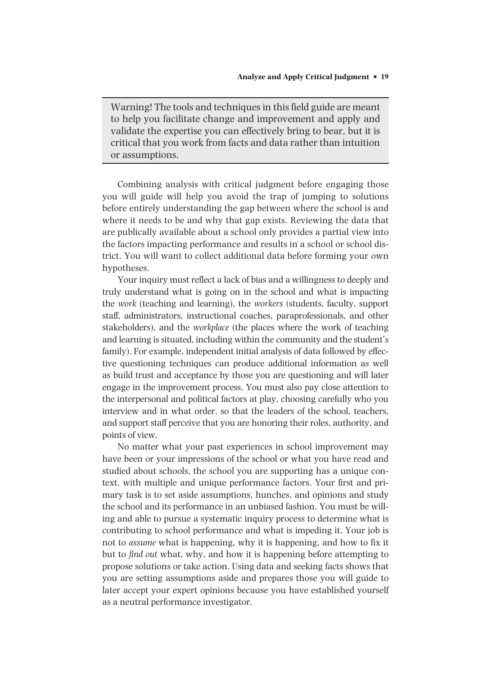Warning! The tools and techniques in this field guide are meant to help you facilitate change and improvement and apply and validate the expertise you can effectively bring to bear, but it is critical that you work from facts and data rather than intuition or assumptions.

 Combining analysis with critical judgment before engaging those you will guide will help you avoid the trap of jumping to solutions before entirely understanding the gap between where the school is and where it needs to be and why that gap exists. Reviewing the data that are publically available about a school only provides a partial view into the factors impacting performance and results in a school or school district. You will want to collect additional data before forming your own hypotheses.

 Your inquiry must reflect a lack of bias and a willingness to deeply and truly understand what is going on in the school and what is impacting the *work* (teaching and learning), the *workers* (students, faculty, support staff, administrators, instructional coaches, paraprofessionals, and other stakeholders), and the *workplace* (the places where the work of teaching and learning is situated, including within the community and the student's family). For example, independent initial analysis of data followed by effective questioning techniques can produce additional information as well as build trust and acceptance by those you are questioning and will later engage in the improvement process. You must also pay close attention to the interpersonal and political factors at play, choosing carefully who you interview and in what order, so that the leaders of the school, teachers, and support staff perceive that you are honoring their roles, authority, and points of view.

 No matter what your past experiences in school improvement may have been or your impressions of the school or what you have read and studied about schools, the school you are supporting has a unique context, with multiple and unique performance factors. Your first and primary task is to set aside assumptions, hunches, and opinions and study the school and its performance in an unbiased fashion. You must be willing and able to pursue a systematic inquiry process to determine what is contributing to school performance and what is impeding it. Your job is not to *assume* what is happening, why it is happening, and how to fix it but to *find out* what, why, and how it is happening before attempting to propose solutions or take action. Using data and seeking facts shows that you are setting assumptions aside and prepares those you will guide to later accept your expert opinions because you have established yourself as a neutral performance investigator.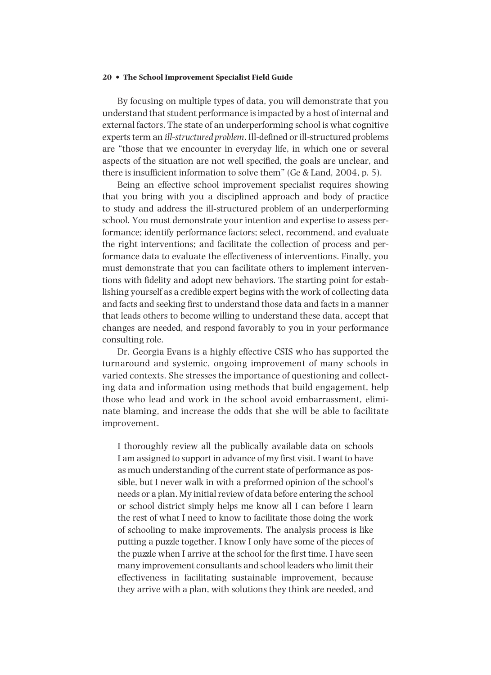By focusing on multiple types of data, you will demonstrate that you understand that student performance is impacted by a host of internal and external factors. The state of an underperforming school is what cognitive experts term an *ill-structured problem* . Ill-defined or ill-structured problems are "those that we encounter in everyday life, in which one or several aspects of the situation are not well specified, the goals are unclear, and there is insufficient information to solve them" (Ge & Land, 2004, p. 5).

 Being an effective school improvement specialist requires showing that you bring with you a disciplined approach and body of practice to study and address the ill-structured problem of an underperforming school. You must demonstrate your intention and expertise to assess performance; identify performance factors; select, recommend, and evaluate the right interventions; and facilitate the collection of process and performance data to evaluate the effectiveness of interventions. Finally, you must demonstrate that you can facilitate others to implement interventions with fidelity and adopt new behaviors. The starting point for establishing yourself as a credible expert begins with the work of collecting data and facts and seeking first to understand those data and facts in a manner that leads others to become willing to understand these data, accept that changes are needed, and respond favorably to you in your performance consulting role.

 Dr. Georgia Evans is a highly effective CSIS who has supported the turnaround and systemic, ongoing improvement of many schools in varied contexts. She stresses the importance of questioning and collecting data and information using methods that build engagement, help those who lead and work in the school avoid embarrassment, eliminate blaming, and increase the odds that she will be able to facilitate improvement.

 I thoroughly review all the publically available data on schools I am assigned to support in advance of my first visit. I want to have as much understanding of the current state of performance as possible, but I never walk in with a preformed opinion of the school's needs or a plan. My initial review of data before entering the school or school district simply helps me know all I can before I learn the rest of what I need to know to facilitate those doing the work of schooling to make improvements. The analysis process is like putting a puzzle together. I know I only have some of the pieces of the puzzle when I arrive at the school for the first time. I have seen many improvement consultants and school leaders who limit their effectiveness in facilitating sustainable improvement, because they arrive with a plan, with solutions they think are needed, and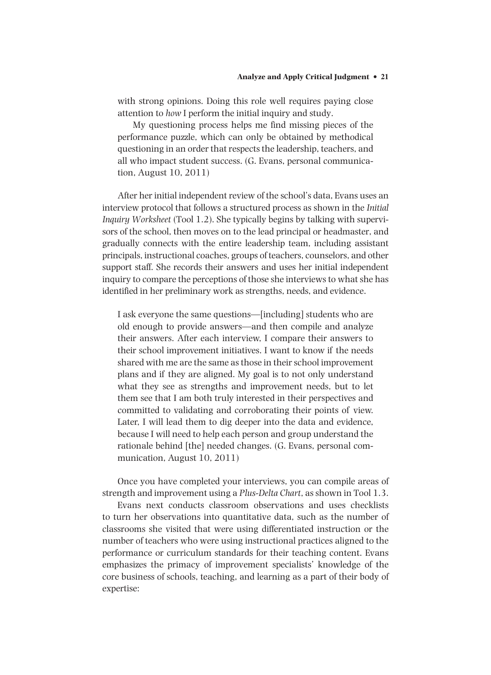with strong opinions. Doing this role well requires paying close attention to *how* I perform the initial inquiry and study.

 My questioning process helps me find missing pieces of the performance puzzle, which can only be obtained by methodical questioning in an order that respects the leadership, teachers, and all who impact student success. (G. Evans, personal communication, August 10, 2011)

 After her initial independent review of the school's data, Evans uses an interview protocol that follows a structured process as shown in the *Initial Inquiry Worksheet* (Tool 1.2). She typically begins by talking with supervisors of the school, then moves on to the lead principal or headmaster, and gradually connects with the entire leadership team, including assistant principals, instructional coaches, groups of teachers, counselors, and other support staff. She records their answers and uses her initial independent inquiry to compare the perceptions of those she interviews to what she has identified in her preliminary work as strengths, needs, and evidence.

 I ask everyone the same questions—[including] students who are old enough to provide answers—and then compile and analyze their answers. After each interview, I compare their answers to their school improvement initiatives. I want to know if the needs shared with me are the same as those in their school improvement plans and if they are aligned. My goal is to not only understand what they see as strengths and improvement needs, but to let them see that I am both truly interested in their perspectives and committed to validating and corroborating their points of view. Later, I will lead them to dig deeper into the data and evidence, because I will need to help each person and group understand the rationale behind [the] needed changes. (G. Evans, personal communication, August 10, 2011)

 Once you have completed your interviews, you can compile areas of strength and improvement using a *Plus-Delta Chart* , as shown in Tool 1.3.

 Evans next conducts classroom observations and uses checklists to turn her observations into quantitative data, such as the number of classrooms she visited that were using differentiated instruction or the number of teachers who were using instructional practices aligned to the performance or curriculum standards for their teaching content. Evans emphasizes the primacy of improvement specialists' knowledge of the core business of schools, teaching, and learning as a part of their body of expertise: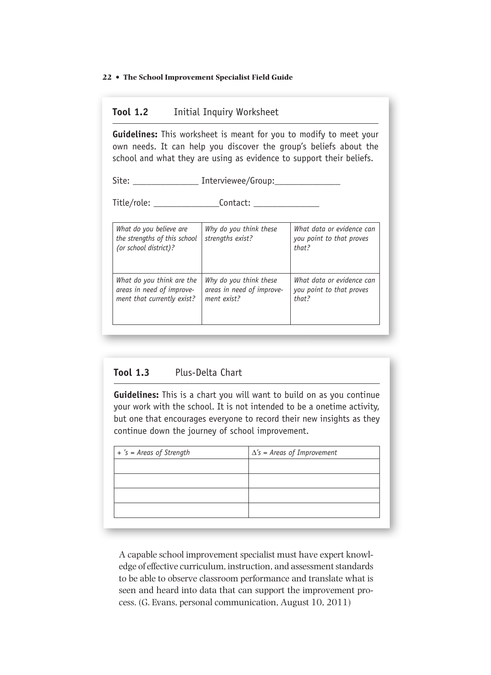# **Tool 1.2** Initial Inquiry Worksheet

**Guidelines:** This worksheet is meant for you to modify to meet your own needs. It can help you discover the group's beliefs about the school and what they are using as evidence to support their beliefs.

Site: \_\_\_\_\_\_\_\_\_\_\_\_\_\_\_\_ Interviewee/Group:

Title/role: \_\_\_\_\_\_\_\_\_\_\_\_\_\_Contact: \_\_\_\_\_\_\_\_\_\_\_\_\_\_

| What do you believe are<br>the strengths of this school<br>(or school district)? | Why do you think these<br>strengths exist? | What data or evidence can<br>you point to that proves<br>that? |
|----------------------------------------------------------------------------------|--------------------------------------------|----------------------------------------------------------------|
| What do you think are the                                                        | Why do you think these                     | What data or evidence can                                      |
| areas in need of improve-                                                        | areas in need of improve-                  | you point to that proves                                       |
| ment that currently exist?                                                       | ment exist?                                | that?                                                          |

# **Tool 1.3** Plus-Delta Chart

**Guidelines:** This is a chart you will want to build on as you continue your work with the school. It is not intended to be a onetime activity, but one that encourages everyone to record their new insights as they continue down the journey of school improvement.

| + 's = Areas of Strength | $\Delta$ 's = Areas of Improvement |  |
|--------------------------|------------------------------------|--|
|                          |                                    |  |
|                          |                                    |  |
|                          |                                    |  |
|                          |                                    |  |
|                          |                                    |  |

 A capable school improvement specialist must have expert knowledge of effective curriculum, instruction, and assessment standards to be able to observe classroom performance and translate what is seen and heard into data that can support the improvement process. (G. Evans, personal communication, August 10, 2011)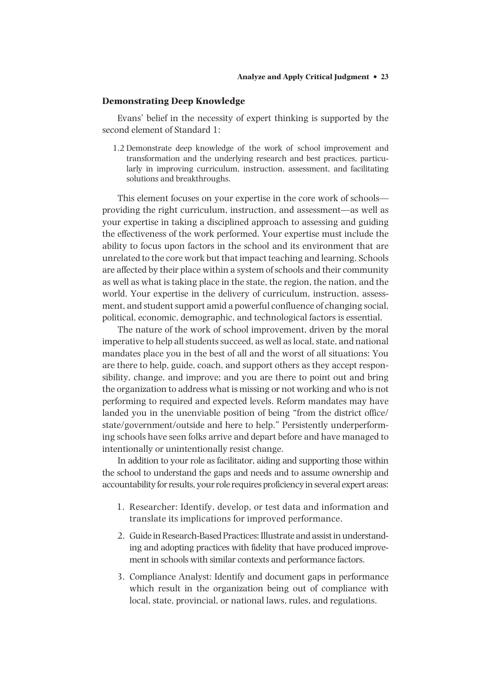#### **Demonstrating Deep Knowledge**

 Evans' belief in the necessity of expert thinking is supported by the second element of Standard 1:

 1.2 Demonstrate deep knowledge of the work of school improvement and transformation and the underlying research and best practices, particularly in improving curriculum, instruction, assessment, and facilitating solutions and breakthroughs.

 This element focuses on your expertise in the core work of schools providing the right curriculum, instruction, and assessment—as well as your expertise in taking a disciplined approach to assessing and guiding the effectiveness of the work performed. Your expertise must include the ability to focus upon factors in the school and its environment that are unrelated to the core work but that impact teaching and learning. Schools are affected by their place within a system of schools and their community as well as what is taking place in the state, the region, the nation, and the world. Your expertise in the delivery of curriculum, instruction, assessment, and student support amid a powerful confluence of changing social, political, economic, demographic, and technological factors is essential.

 The nature of the work of school improvement, driven by the moral imperative to help all students succeed, as well as local, state, and national mandates place you in the best of all and the worst of all situations: You are there to help, guide, coach, and support others as they accept responsibility, change, and improve; and you are there to point out and bring the organization to address what is missing or not working and who is not performing to required and expected levels. Reform mandates may have landed you in the unenviable position of being "from the district office/ state/government/outside and here to help." Persistently underperforming schools have seen folks arrive and depart before and have managed to intentionally or unintentionally resist change.

 In addition to your role as facilitator, aiding and supporting those within the school to understand the gaps and needs and to assume ownership and accountability for results, your role requires proficiency in several expert areas:

- 1. Researcher: Identify, develop, or test data and information and translate its implications for improved performance.
- 2. Guide in Research-Based Practices: Illustrate and assist in understanding and adopting practices with fidelity that have produced improvement in schools with similar contexts and performance factors.
- 3. Compliance Analyst: Identify and document gaps in performance which result in the organization being out of compliance with local, state, provincial, or national laws, rules, and regulations.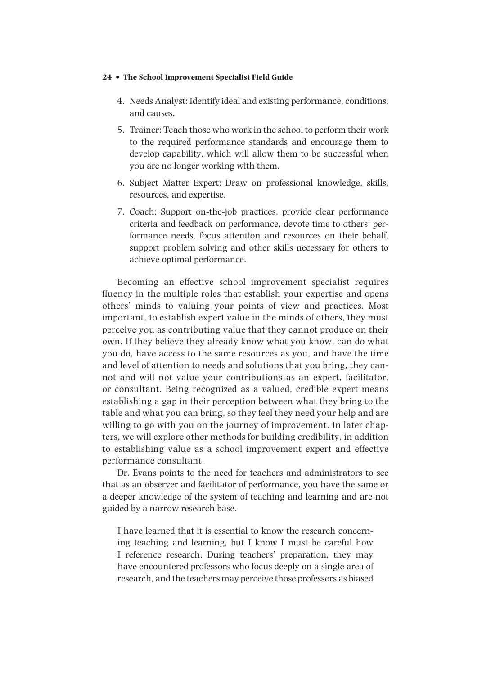- 4. Needs Analyst: Identify ideal and existing performance, conditions, and causes.
- 5. Trainer: Teach those who work in the school to perform their work to the required performance standards and encourage them to develop capability, which will allow them to be successful when you are no longer working with them.
- 6. Subject Matter Expert: Draw on professional knowledge, skills, resources, and expertise.
- 7. Coach: Support on-the-job practices, provide clear performance criteria and feedback on performance, devote time to others' performance needs, focus attention and resources on their behalf, support problem solving and other skills necessary for others to achieve optimal performance.

 Becoming an effective school improvement specialist requires fluency in the multiple roles that establish your expertise and opens others' minds to valuing your points of view and practices. Most important, to establish expert value in the minds of others, they must perceive you as contributing value that they cannot produce on their own. If they believe they already know what you know, can do what you do, have access to the same resources as you, and have the time and level of attention to needs and solutions that you bring, they cannot and will not value your contributions as an expert, facilitator, or consultant. Being recognized as a valued, credible expert means establishing a gap in their perception between what they bring to the table and what you can bring, so they feel they need your help and are willing to go with you on the journey of improvement. In later chapters, we will explore other methods for building credibility, in addition to establishing value as a school improvement expert and effective performance consultant.

 Dr. Evans points to the need for teachers and administrators to see that as an observer and facilitator of performance, you have the same or a deeper knowledge of the system of teaching and learning and are not guided by a narrow research base.

 I have learned that it is essential to know the research concerning teaching and learning, but I know I must be careful how I reference research. During teachers' preparation, they may have encountered professors who focus deeply on a single area of research, and the teachers may perceive those professors as biased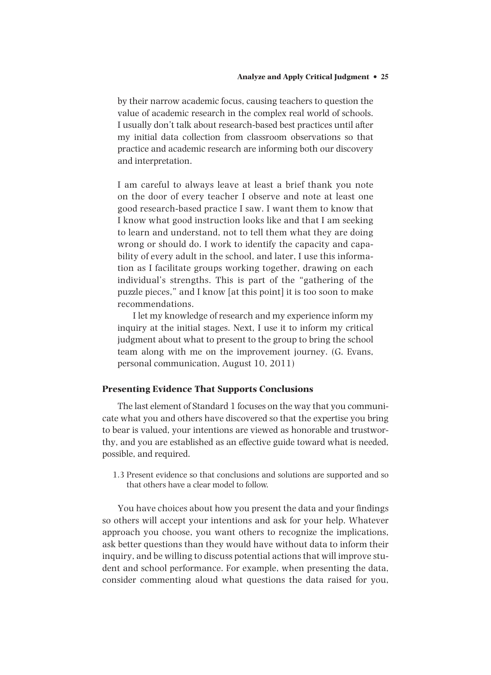by their narrow academic focus, causing teachers to question the value of academic research in the complex real world of schools. I usually don't talk about research-based best practices until after my initial data collection from classroom observations so that practice and academic research are informing both our discovery and interpretation.

 I am careful to always leave at least a brief thank you note on the door of every teacher I observe and note at least one good research-based practice I saw. I want them to know that I know what good instruction looks like and that I am seeking to learn and understand, not to tell them what they are doing wrong or should do. I work to identify the capacity and capability of every adult in the school, and later, I use this information as I facilitate groups working together, drawing on each individual's strengths. This is part of the "gathering of the puzzle pieces," and I know [at this point] it is too soon to make recommendations.

 I let my knowledge of research and my experience inform my inquiry at the initial stages. Next, I use it to inform my critical judgment about what to present to the group to bring the school team along with me on the improvement journey. (G. Evans, personal communication, August 10, 2011)

## **Presenting Evidence That Supports Conclusions**

 The last element of Standard 1 focuses on the way that you communicate what you and others have discovered so that the expertise you bring to bear is valued, your intentions are viewed as honorable and trustworthy, and you are established as an effective guide toward what is needed, possible, and required.

 1.3 Present evidence so that conclusions and solutions are supported and so that others have a clear model to follow.

 You have choices about how you present the data and your findings so others will accept your intentions and ask for your help. Whatever approach you choose, you want others to recognize the implications, ask better questions than they would have without data to inform their inquiry, and be willing to discuss potential actions that will improve student and school performance. For example, when presenting the data, consider commenting aloud what questions the data raised for you,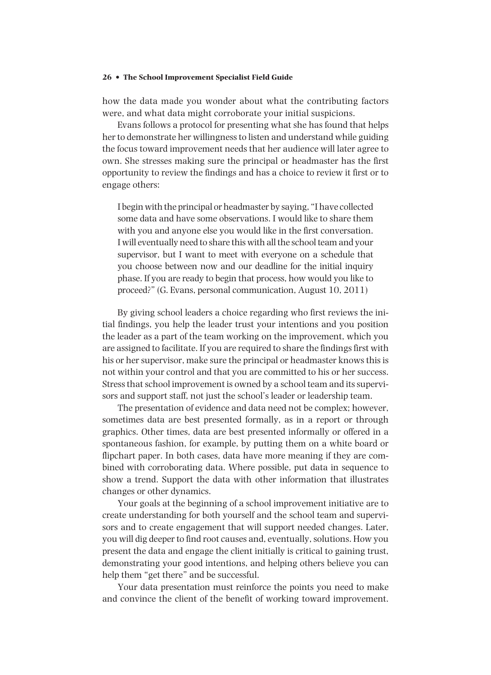how the data made you wonder about what the contributing factors were, and what data might corroborate your initial suspicions.

 Evans follows a protocol for presenting what she has found that helps her to demonstrate her willingness to listen and understand while guiding the focus toward improvement needs that her audience will later agree to own. She stresses making sure the principal or headmaster has the first opportunity to review the findings and has a choice to review it first or to engage others:

 I begin with the principal or headmaster by saying, "I have collected some data and have some observations. I would like to share them with you and anyone else you would like in the first conversation. I will eventually need to share this with all the school team and your supervisor, but I want to meet with everyone on a schedule that you choose between now and our deadline for the initial inquiry phase. If you are ready to begin that process, how would you like to proceed?" (G. Evans, personal communication, August 10, 2011)

 By giving school leaders a choice regarding who first reviews the initial findings, you help the leader trust your intentions and you position the leader as a part of the team working on the improvement, which you are assigned to facilitate. If you are required to share the findings first with his or her supervisor, make sure the principal or headmaster knows this is not within your control and that you are committed to his or her success. Stress that school improvement is owned by a school team and its supervisors and support staff, not just the school's leader or leadership team.

 The presentation of evidence and data need not be complex; however, sometimes data are best presented formally, as in a report or through graphics. Other times, data are best presented informally or offered in a spontaneous fashion, for example, by putting them on a white board or flipchart paper. In both cases, data have more meaning if they are combined with corroborating data. Where possible, put data in sequence to show a trend. Support the data with other information that illustrates changes or other dynamics.

 Your goals at the beginning of a school improvement initiative are to create understanding for both yourself and the school team and supervisors and to create engagement that will support needed changes. Later, you will dig deeper to find root causes and, eventually, solutions. How you present the data and engage the client initially is critical to gaining trust, demonstrating your good intentions, and helping others believe you can help them "get there" and be successful.

 Your data presentation must reinforce the points you need to make and convince the client of the benefit of working toward improvement.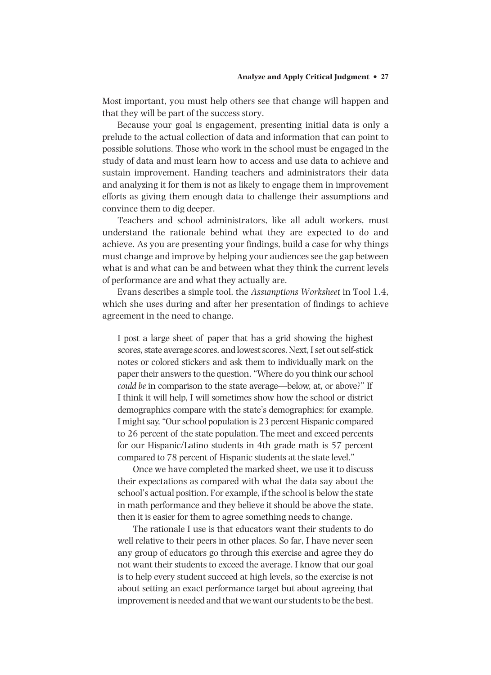Most important, you must help others see that change will happen and that they will be part of the success story.

 Because your goal is engagement, presenting initial data is only a prelude to the actual collection of data and information that can point to possible solutions. Those who work in the school must be engaged in the study of data and must learn how to access and use data to achieve and sustain improvement. Handing teachers and administrators their data and analyzing it for them is not as likely to engage them in improvement efforts as giving them enough data to challenge their assumptions and convince them to dig deeper.

 Teachers and school administrators, like all adult workers, must understand the rationale behind what they are expected to do and achieve. As you are presenting your findings, build a case for why things must change and improve by helping your audiences see the gap between what is and what can be and between what they think the current levels of performance are and what they actually are.

 Evans describes a simple tool, the *Assumptions Worksheet* in Tool 1.4, which she uses during and after her presentation of findings to achieve agreement in the need to change.

 I post a large sheet of paper that has a grid showing the highest scores, state average scores, and lowest scores. Next, I set out self-stick notes or colored stickers and ask them to individually mark on the paper their answers to the question, "Where do you think our school *could be* in comparison to the state average—below, at, or above?" If I think it will help, I will sometimes show how the school or district demographics compare with the state's demographics; for example, I might say, "Our school population is 23 percent Hispanic compared to 26 percent of the state population. The meet and exceed percents for our Hispanic/Latino students in 4th grade math is 57 percent compared to 78 percent of Hispanic students at the state level."

 Once we have completed the marked sheet, we use it to discuss their expectations as compared with what the data say about the school's actual position. For example, if the school is below the state in math performance and they believe it should be above the state, then it is easier for them to agree something needs to change.

 The rationale I use is that educators want their students to do well relative to their peers in other places. So far, I have never seen any group of educators go through this exercise and agree they do not want their students to exceed the average. I know that our goal is to help every student succeed at high levels, so the exercise is not about setting an exact performance target but about agreeing that improvement is needed and that we want our students to be the best.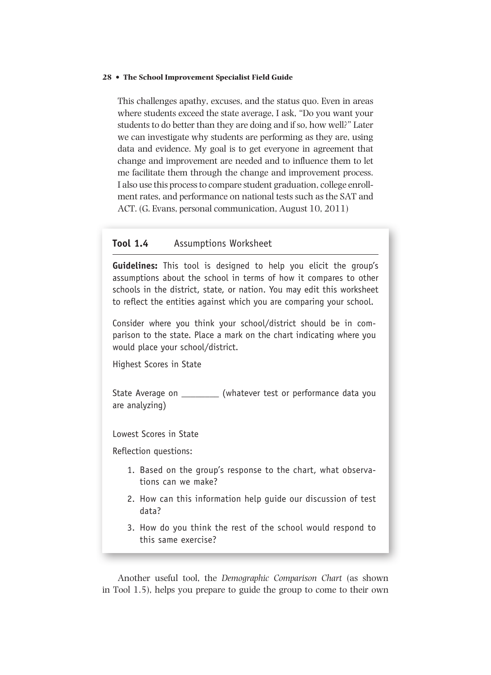This challenges apathy, excuses, and the status quo. Even in areas where students exceed the state average, I ask, "Do you want your students to do better than they are doing and if so, how well?" Later we can investigate why students are performing as they are, using data and evidence. My goal is to get everyone in agreement that change and improvement are needed and to influence them to let me facilitate them through the change and improvement process. I also use this process to compare student graduation, college enrollment rates, and performance on national tests such as the SAT and ACT. (G. Evans, personal communication, August 10, 2011)

# **Tool 1.4** Assumptions Worksheet

**Guidelines:** This tool is designed to help you elicit the group's assumptions about the school in terms of how it compares to other schools in the district, state, or nation. You may edit this worksheet to reflect the entities against which you are comparing your school.

Consider where you think your school/district should be in comparison to the state. Place a mark on the chart indicating where you would place your school/district.

Highest Scores in State

State Average on \_\_\_\_\_\_\_\_ (whatever test or performance data you are analyzing)

Lowest Scores in State

Reflection questions:

- 1. Based on the group's response to the chart, what observations can we make?
- 2. How can this information help guide our discussion of test data?
- 3. How do you think the rest of the school would respond to this same exercise?

 Another useful tool, the *Demographic Comparison Chart* (as shown in Tool 1.5), helps you prepare to guide the group to come to their own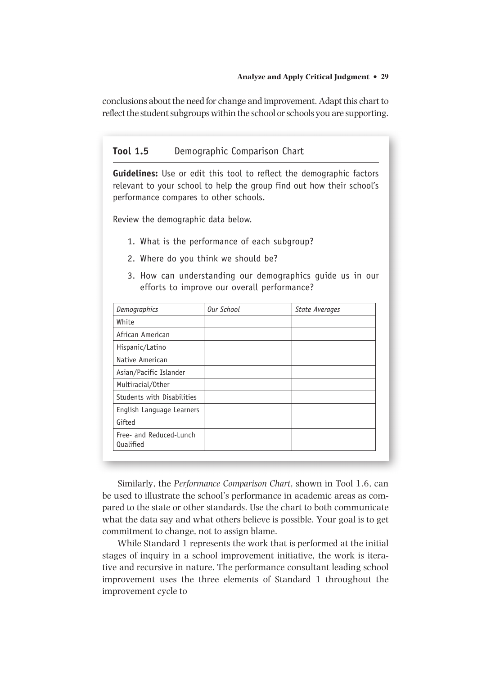conclusions about the need for change and improvement. Adapt this chart to reflect the student subgroups within the school or schools you are supporting.

## **Tool 1.5** Demographic Comparison Chart

**Guidelines:** Use or edit this tool to reflect the demographic factors relevant to your school to help the group find out how their school's performance compares to other schools.

Review the demographic data below.

- 1. What is the performance of each subgroup?
- 2. Where do you think we should be?
- 3. How can understanding our demographics guide us in our efforts to improve our overall performance?

| <b>Demographics</b>                         | Our School | <b>State Averages</b> |
|---------------------------------------------|------------|-----------------------|
| White                                       |            |                       |
| African American                            |            |                       |
| Hispanic/Latino                             |            |                       |
| Native American                             |            |                       |
| Asian/Pacific Islander                      |            |                       |
| Multiracial/Other                           |            |                       |
| Students with Disabilities                  |            |                       |
| English Language Learners                   |            |                       |
| Gifted                                      |            |                       |
| Free- and Reduced-Lunch<br><b>Qualified</b> |            |                       |

Similarly, the *Performance Comparison Chart*, shown in Tool 1.6, can be used to illustrate the school's performance in academic areas as compared to the state or other standards. Use the chart to both communicate what the data say and what others believe is possible. Your goal is to get commitment to change, not to assign blame.

 While Standard 1 represents the work that is performed at the initial stages of inquiry in a school improvement initiative, the work is iterative and recursive in nature. The performance consultant leading school improvement uses the three elements of Standard 1 throughout the improvement cycle to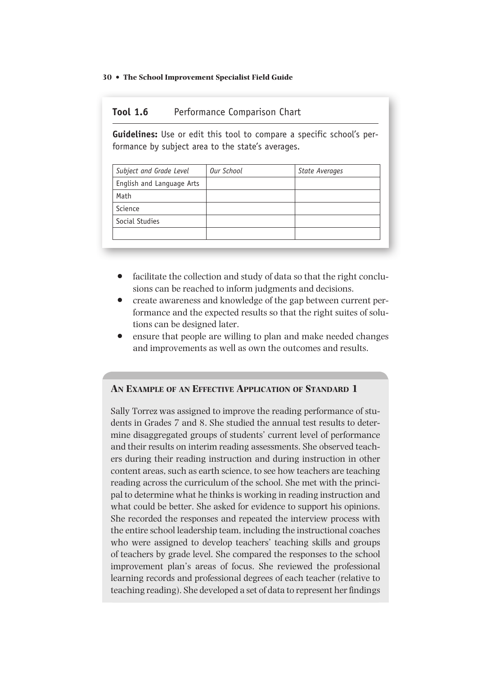# **Tool 1.6** Performance Comparison Chart

**Guidelines:** Use or edit this tool to compare a specific school's performance by subject area to the state's averages.

| Subject and Grade Level   | Our School | <b>State Averages</b> |
|---------------------------|------------|-----------------------|
| English and Language Arts |            |                       |
| Math                      |            |                       |
| Science                   |            |                       |
| Social Studies            |            |                       |
|                           |            |                       |

- facilitate the collection and study of data so that the right conclusions can be reached to inform judgments and decisions.
- create awareness and knowledge of the gap between current performance and the expected results so that the right suites of solutions can be designed later.
- ensure that people are willing to plan and make needed changes and improvements as well as own the outcomes and results.

## **AN EXAMPLE OF AN EFFECTIVE APPLICATION OF STANDARD 1**

Sally Torrez was assigned to improve the reading performance of students in Grades 7 and 8. She studied the annual test results to determine disaggregated groups of students' current level of performance and their results on interim reading assessments. She observed teachers during their reading instruction and during instruction in other content areas, such as earth science, to see how teachers are teaching reading across the curriculum of the school. She met with the principal to determine what he thinks is working in reading instruction and what could be better. She asked for evidence to support his opinions. She recorded the responses and repeated the interview process with the entire school leadership team, including the instructional coaches who were assigned to develop teachers' teaching skills and groups of teachers by grade level. She compared the responses to the school improvement plan's areas of focus. She reviewed the professional learning records and professional degrees of each teacher (relative to teaching reading). She developed a set of data to represent her findings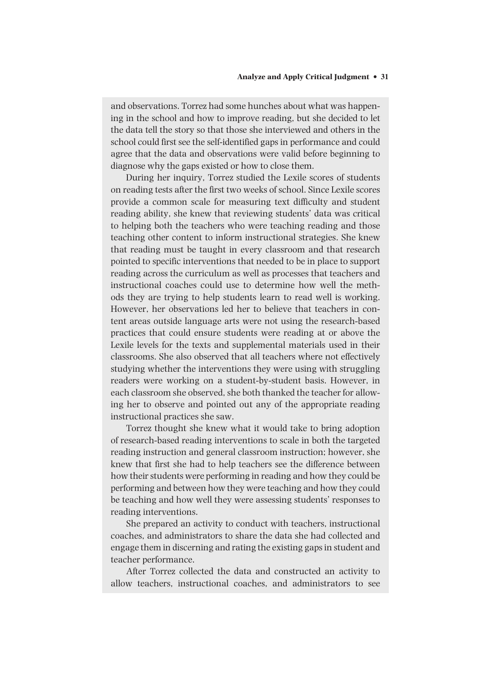and observations. Torrez had some hunches about what was happening in the school and how to improve reading, but she decided to let the data tell the story so that those she interviewed and others in the school could first see the self-identified gaps in performance and could agree that the data and observations were valid before beginning to diagnose why the gaps existed or how to close them.

During her inquiry, Torrez studied the Lexile scores of students on reading tests after the first two weeks of school. Since Lexile scores provide a common scale for measuring text difficulty and student reading ability, she knew that reviewing students' data was critical to helping both the teachers who were teaching reading and those teaching other content to inform instructional strategies. She knew that reading must be taught in every classroom and that research pointed to specific interventions that needed to be in place to support reading across the curriculum as well as processes that teachers and instructional coaches could use to determine how well the methods they are trying to help students learn to read well is working. However, her observations led her to believe that teachers in content areas outside language arts were not using the research-based practices that could ensure students were reading at or above the Lexile levels for the texts and supplemental materials used in their classrooms. She also observed that all teachers where not effectively studying whether the interventions they were using with struggling readers were working on a student-by-student basis. However, in each classroom she observed, she both thanked the teacher for allowing her to observe and pointed out any of the appropriate reading instructional practices she saw.

Torrez thought she knew what it would take to bring adoption of research-based reading interventions to scale in both the targeted reading instruction and general classroom instruction; however, she knew that first she had to help teachers see the difference between how their students were performing in reading and how they could be performing and between how they were teaching and how they could be teaching and how well they were assessing students' responses to reading interventions.

She prepared an activity to conduct with teachers, instructional coaches, and administrators to share the data she had collected and engage them in discerning and rating the existing gaps in student and teacher performance.

After Torrez collected the data and constructed an activity to allow teachers, instructional coaches, and administrators to see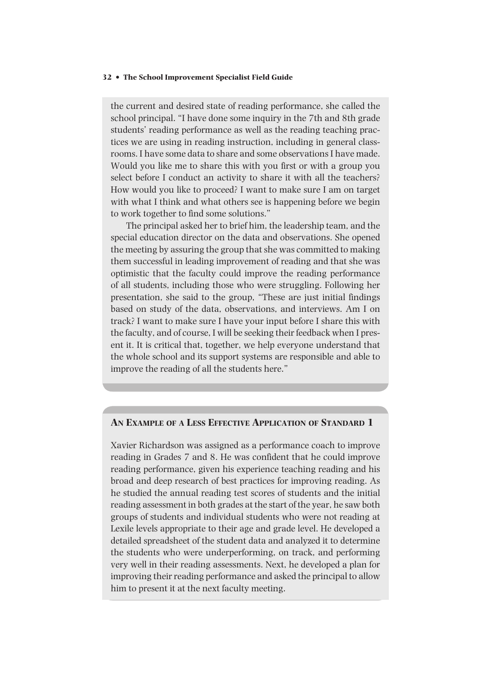the current and desired state of reading performance, she called the school principal. "I have done some inquiry in the 7th and 8th grade students' reading performance as well as the reading teaching practices we are using in reading instruction, including in general classrooms. I have some data to share and some observations I have made. Would you like me to share this with you first or with a group you select before I conduct an activity to share it with all the teachers? How would you like to proceed? I want to make sure I am on target with what I think and what others see is happening before we begin to work together to find some solutions."

The principal asked her to brief him, the leadership team, and the special education director on the data and observations. She opened the meeting by assuring the group that she was committed to making them successful in leading improvement of reading and that she was optimistic that the faculty could improve the reading performance of all students, including those who were struggling. Following her presentation, she said to the group, "These are just initial findings based on study of the data, observations, and interviews. Am I on track? I want to make sure I have your input before I share this with the faculty, and of course, I will be seeking their feedback when I present it. It is critical that, together, we help everyone understand that the whole school and its support systems are responsible and able to improve the reading of all the students here."

#### **AN EXAMPLE OF A LESS EFFECTIVE APPLICATION OF STANDARD 1**

Xavier Richardson was assigned as a performance coach to improve reading in Grades 7 and 8. He was confident that he could improve reading performance, given his experience teaching reading and his broad and deep research of best practices for improving reading. As he studied the annual reading test scores of students and the initial reading assessment in both grades at the start of the year, he saw both groups of students and individual students who were not reading at Lexile levels appropriate to their age and grade level. He developed a detailed spreadsheet of the student data and analyzed it to determine the students who were underperforming, on track, and performing very well in their reading assessments. Next, he developed a plan for improving their reading performance and asked the principal to allow him to present it at the next faculty meeting.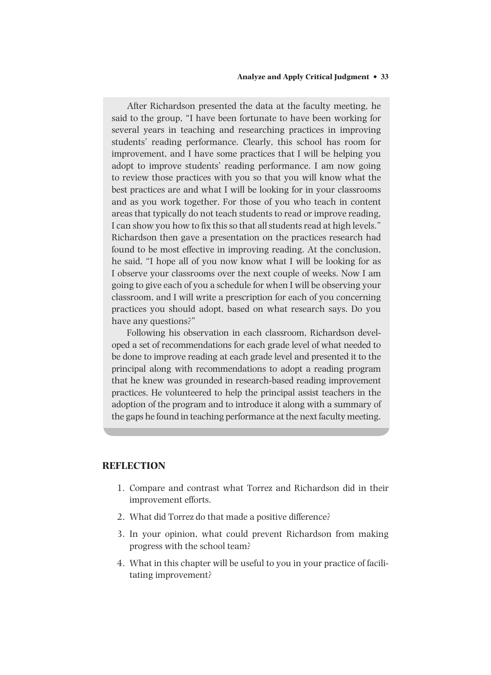After Richardson presented the data at the faculty meeting, he said to the group, "I have been fortunate to have been working for several years in teaching and researching practices in improving students' reading performance. Clearly, this school has room for improvement, and I have some practices that I will be helping you adopt to improve students' reading performance. I am now going to review those practices with you so that you will know what the best practices are and what I will be looking for in your classrooms and as you work together. For those of you who teach in content areas that typically do not teach students to read or improve reading, I can show you how to fix this so that all students read at high levels." Richardson then gave a presentation on the practices research had found to be most effective in improving reading. At the conclusion, he said, "I hope all of you now know what I will be looking for as I observe your classrooms over the next couple of weeks. Now I am going to give each of you a schedule for when I will be observing your classroom, and I will write a prescription for each of you concerning practices you should adopt, based on what research says. Do you have any questions?"

Following his observation in each classroom, Richardson developed a set of recommendations for each grade level of what needed to be done to improve reading at each grade level and presented it to the principal along with recommendations to adopt a reading program that he knew was grounded in research-based reading improvement practices. He volunteered to help the principal assist teachers in the adoption of the program and to introduce it along with a summary of the gaps he found in teaching performance at the next faculty meeting.

## **REFLECTION**

- 1. Compare and contrast what Torrez and Richardson did in their improvement efforts.
- 2. What did Torrez do that made a positive difference?
- 3. In your opinion, what could prevent Richardson from making progress with the school team?
- 4. What in this chapter will be useful to you in your practice of facilitating improvement?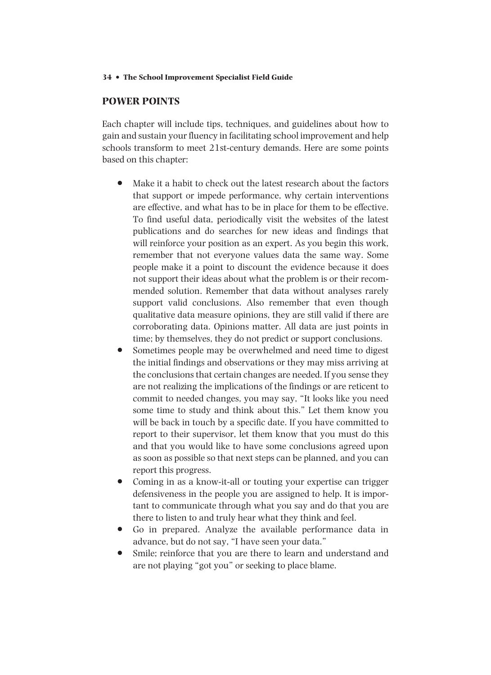# **POWER POINTS**

 Each chapter will include tips, techniques, and guidelines about how to gain and sustain your fluency in facilitating school improvement and help schools transform to meet 21st-century demands. Here are some points based on this chapter:

- Make it a habit to check out the latest research about the factors that support or impede performance, why certain interventions are effective, and what has to be in place for them to be effective. To find useful data, periodically visit the websites of the latest publications and do searches for new ideas and findings that will reinforce your position as an expert. As you begin this work, remember that not everyone values data the same way. Some people make it a point to discount the evidence because it does not support their ideas about what the problem is or their recommended solution. Remember that data without analyses rarely support valid conclusions. Also remember that even though qualitative data measure opinions, they are still valid if there are corroborating data. Opinions matter. All data are just points in time; by themselves, they do not predict or support conclusions.
- Sometimes people may be overwhelmed and need time to digest the initial findings and observations or they may miss arriving at the conclusions that certain changes are needed. If you sense they are not realizing the implications of the findings or are reticent to commit to needed changes, you may say, "It looks like you need some time to study and think about this." Let them know you will be back in touch by a specific date. If you have committed to report to their supervisor, let them know that you must do this and that you would like to have some conclusions agreed upon as soon as possible so that next steps can be planned, and you can report this progress.
- Coming in as a know-it-all or touting your expertise can trigger defensiveness in the people you are assigned to help. It is important to communicate through what you say and do that you are there to listen to and truly hear what they think and feel.
- Go in prepared. Analyze the available performance data in advance, but do not say, "I have seen your data."
- Smile; reinforce that you are there to learn and understand and are not playing "got you" or seeking to place blame.